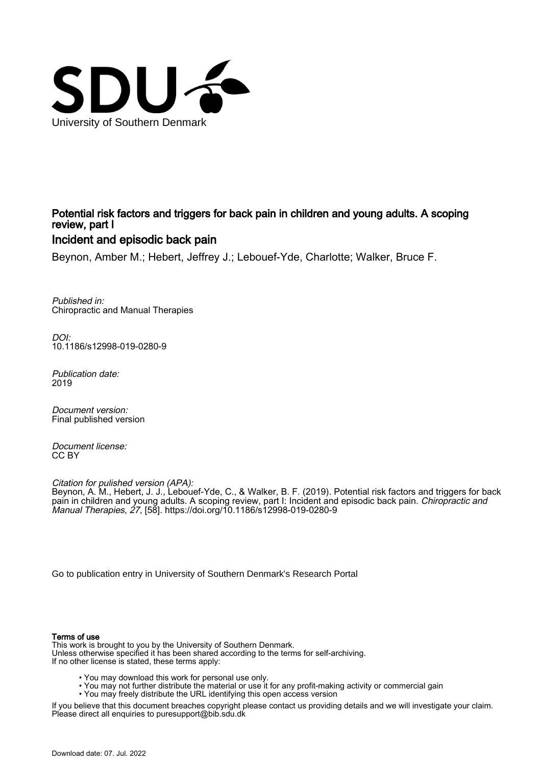

# Potential risk factors and triggers for back pain in children and young adults. A scoping review, part I

# Incident and episodic back pain

Beynon, Amber M.; Hebert, Jeffrey J.; Lebouef-Yde, Charlotte; Walker, Bruce F.

Published in: Chiropractic and Manual Therapies

DOI: [10.1186/s12998-019-0280-9](https://doi.org/10.1186/s12998-019-0280-9)

Publication date: 2019

Document version: Final published version

Document license: CC BY

Citation for pulished version (APA): Beynon, A. M., Hebert, J. J., Lebouef-Yde, C., & Walker, B. F. (2019). Potential risk factors and triggers for back pain in children and young adults. A scoping review, part I: Incident and episodic back pain. *Chiropractic and* Manual Therapies, 27, [58].<https://doi.org/10.1186/s12998-019-0280-9>

[Go to publication entry in University of Southern Denmark's Research Portal](https://portal.findresearcher.sdu.dk/en/publications/98bab73a-654d-4465-8110-262e2e7da41b)

# Terms of use

This work is brought to you by the University of Southern Denmark. Unless otherwise specified it has been shared according to the terms for self-archiving. If no other license is stated, these terms apply:

- You may download this work for personal use only.
- You may not further distribute the material or use it for any profit-making activity or commercial gain
	- You may freely distribute the URL identifying this open access version

If you believe that this document breaches copyright please contact us providing details and we will investigate your claim. Please direct all enquiries to puresupport@bib.sdu.dk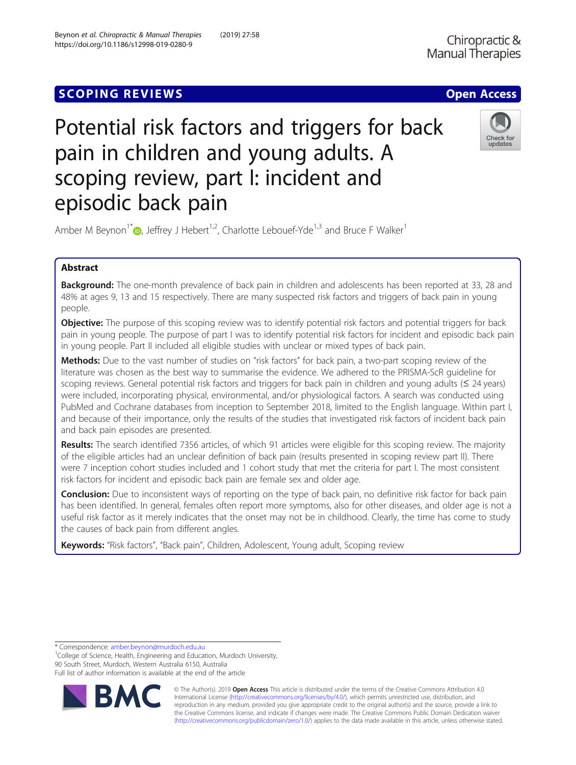# **SCOPING REVIEWS SCOPING REVIEWS**

# Potential risk factors and triggers for back pain in children and young adults. A scoping review, part I: incident and episodic back pain

Amber M Beynon<sup>1\*</sup> **D**, Jeffrey J Hebert<sup>1,2</sup>, Charlotte Lebouef-Yde<sup>1,3</sup> and Bruce F Walker<sup>1</sup>

# Abstract

Background: The one-month prevalence of back pain in children and adolescents has been reported at 33, 28 and 48% at ages 9, 13 and 15 respectively. There are many suspected risk factors and triggers of back pain in young people.

**Objective:** The purpose of this scoping review was to identify potential risk factors and potential triggers for back pain in young people. The purpose of part I was to identify potential risk factors for incident and episodic back pain in young people. Part II included all eligible studies with unclear or mixed types of back pain.

Methods: Due to the vast number of studies on "risk factors" for back pain, a two-part scoping review of the literature was chosen as the best way to summarise the evidence. We adhered to the PRISMA-ScR guideline for scoping reviews. General potential risk factors and triggers for back pain in children and young adults (≤ 24 years) were included, incorporating physical, environmental, and/or physiological factors. A search was conducted using PubMed and Cochrane databases from inception to September 2018, limited to the English language. Within part I, and because of their importance, only the results of the studies that investigated risk factors of incident back pain and back pain episodes are presented.

Results: The search identified 7356 articles, of which 91 articles were eligible for this scoping review. The majority of the eligible articles had an unclear definition of back pain (results presented in scoping review part II). There were 7 inception cohort studies included and 1 cohort study that met the criteria for part I. The most consistent risk factors for incident and episodic back pain are female sex and older age.

**Conclusion:** Due to inconsistent ways of reporting on the type of back pain, no definitive risk factor for back pain has been identified. In general, females often report more symptoms, also for other diseases, and older age is not a useful risk factor as it merely indicates that the onset may not be in childhood. Clearly, the time has come to study the causes of back pain from different angles.

Keywords: "Risk factors", "Back pain", Children, Adolescent, Young adult, Scoping review

\* Correspondence: [amber.beynon@murdoch.edu.au](mailto:amber.beynon@murdoch.edu.au) <sup>1</sup>

RA

© The Author(s). 2019 **Open Access** This article is distributed under the terms of the Creative Commons Attribution 4.0 International License [\(http://creativecommons.org/licenses/by/4.0/](http://creativecommons.org/licenses/by/4.0/)), which permits unrestricted use, distribution, and reproduction in any medium, provided you give appropriate credit to the original author(s) and the source, provide a link to the Creative Commons license, and indicate if changes were made. The Creative Commons Public Domain Dedication waiver [\(http://creativecommons.org/publicdomain/zero/1.0/](http://creativecommons.org/publicdomain/zero/1.0/)) applies to the data made available in this article, unless otherwise stated.

<sup>1</sup>College of Science, Health, Engineering and Education, Murdoch University, 90 South Street, Murdoch, Western Australia 6150, Australia Full list of author information is available at the end of the article





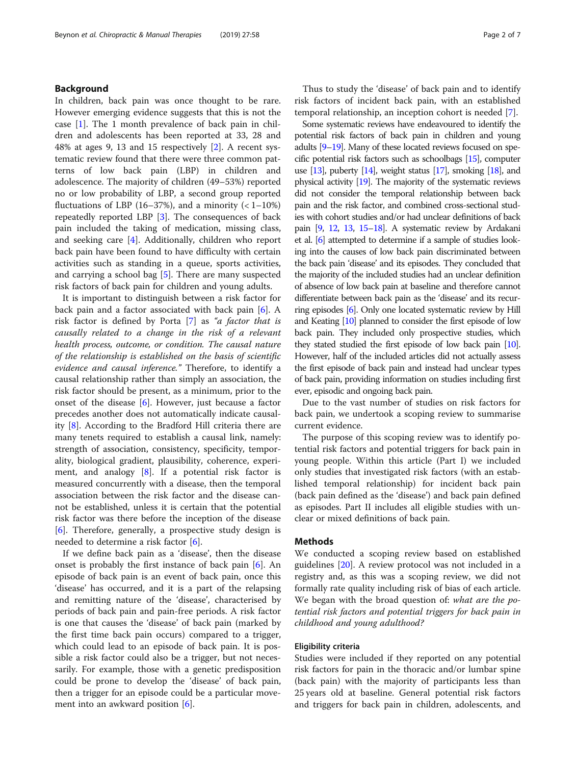# Background

In children, back pain was once thought to be rare. However emerging evidence suggests that this is not the case [[1\]](#page-7-0). The 1 month prevalence of back pain in children and adolescents has been reported at 33, 28 and 48% at ages 9, 13 and 15 respectively [[2\]](#page-7-0). A recent systematic review found that there were three common patterns of low back pain (LBP) in children and adolescence. The majority of children (49–53%) reported no or low probability of LBP, a second group reported fluctuations of LBP (16–37%), and a minority  $(< 1-10\%)$ repeatedly reported LBP [\[3](#page-7-0)]. The consequences of back pain included the taking of medication, missing class, and seeking care [[4\]](#page-7-0). Additionally, children who report back pain have been found to have difficulty with certain activities such as standing in a queue, sports activities, and carrying a school bag [[5\]](#page-7-0). There are many suspected risk factors of back pain for children and young adults.

It is important to distinguish between a risk factor for back pain and a factor associated with back pain [[6](#page-7-0)]. A risk factor is defined by Porta [\[7](#page-7-0)] as "a factor that is causally related to a change in the risk of a relevant health process, outcome, or condition. The causal nature of the relationship is established on the basis of scientific evidence and causal inference." Therefore, to identify a causal relationship rather than simply an association, the risk factor should be present, as a minimum, prior to the onset of the disease [\[6](#page-7-0)]. However, just because a factor precedes another does not automatically indicate causality [[8\]](#page-7-0). According to the Bradford Hill criteria there are many tenets required to establish a causal link, namely: strength of association, consistency, specificity, temporality, biological gradient, plausibility, coherence, experiment, and analogy [\[8](#page-7-0)]. If a potential risk factor is measured concurrently with a disease, then the temporal association between the risk factor and the disease cannot be established, unless it is certain that the potential risk factor was there before the inception of the disease [[6\]](#page-7-0). Therefore, generally, a prospective study design is needed to determine a risk factor [\[6](#page-7-0)].

If we define back pain as a 'disease', then the disease onset is probably the first instance of back pain [\[6](#page-7-0)]. An episode of back pain is an event of back pain, once this 'disease' has occurred, and it is a part of the relapsing and remitting nature of the 'disease', characterised by periods of back pain and pain-free periods. A risk factor is one that causes the 'disease' of back pain (marked by the first time back pain occurs) compared to a trigger, which could lead to an episode of back pain. It is possible a risk factor could also be a trigger, but not necessarily. For example, those with a genetic predisposition could be prone to develop the 'disease' of back pain, then a trigger for an episode could be a particular movement into an awkward position [\[6](#page-7-0)].

Thus to study the 'disease' of back pain and to identify risk factors of incident back pain, with an established temporal relationship, an inception cohort is needed [[7\]](#page-7-0).

Some systematic reviews have endeavoured to identify the potential risk factors of back pain in children and young adults [\[9](#page-7-0)–[19](#page-7-0)]. Many of these located reviews focused on specific potential risk factors such as schoolbags [\[15](#page-7-0)], computer use  $[13]$  $[13]$ , puberty  $[14]$ , weight status  $[17]$  $[17]$ , smoking  $[18]$  $[18]$ , and physical activity [\[19](#page-7-0)]. The majority of the systematic reviews did not consider the temporal relationship between back pain and the risk factor, and combined cross-sectional studies with cohort studies and/or had unclear definitions of back pain [[9](#page-7-0), [12](#page-7-0), [13,](#page-7-0) [15](#page-7-0)–[18](#page-7-0)]. A systematic review by Ardakani et al. [\[6\]](#page-7-0) attempted to determine if a sample of studies looking into the causes of low back pain discriminated between the back pain 'disease' and its episodes. They concluded that the majority of the included studies had an unclear definition of absence of low back pain at baseline and therefore cannot differentiate between back pain as the 'disease' and its recurring episodes [\[6](#page-7-0)]. Only one located systematic review by Hill and Keating [[10\]](#page-7-0) planned to consider the first episode of low back pain. They included only prospective studies, which they stated studied the first episode of low back pain [\[10\]](#page-7-0). However, half of the included articles did not actually assess the first episode of back pain and instead had unclear types of back pain, providing information on studies including first ever, episodic and ongoing back pain.

Due to the vast number of studies on risk factors for back pain, we undertook a scoping review to summarise current evidence.

The purpose of this scoping review was to identify potential risk factors and potential triggers for back pain in young people. Within this article (Part I) we included only studies that investigated risk factors (with an established temporal relationship) for incident back pain (back pain defined as the 'disease') and back pain defined as episodes. Part II includes all eligible studies with unclear or mixed definitions of back pain.

# Methods

We conducted a scoping review based on established guidelines [\[20](#page-7-0)]. A review protocol was not included in a registry and, as this was a scoping review, we did not formally rate quality including risk of bias of each article. We began with the broad question of: what are the potential risk factors and potential triggers for back pain in childhood and young adulthood?

# Eligibility criteria

Studies were included if they reported on any potential risk factors for pain in the thoracic and/or lumbar spine (back pain) with the majority of participants less than 25 years old at baseline. General potential risk factors and triggers for back pain in children, adolescents, and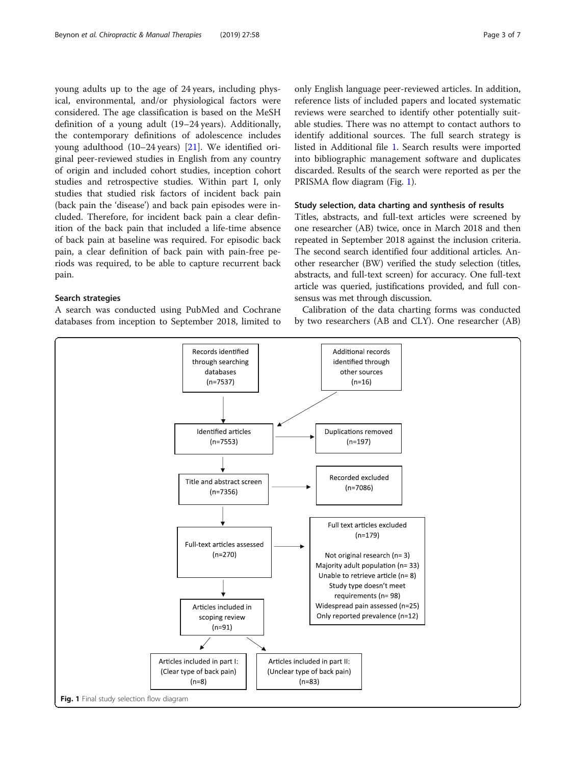<span id="page-3-0"></span>young adults up to the age of 24 years, including physical, environmental, and/or physiological factors were considered. The age classification is based on the MeSH definition of a young adult (19–24 years). Additionally, the contemporary definitions of adolescence includes young adulthood (10–24 years) [\[21](#page-7-0)]. We identified original peer-reviewed studies in English from any country of origin and included cohort studies, inception cohort studies and retrospective studies. Within part I, only studies that studied risk factors of incident back pain (back pain the 'disease') and back pain episodes were included. Therefore, for incident back pain a clear definition of the back pain that included a life-time absence of back pain at baseline was required. For episodic back pain, a clear definition of back pain with pain-free periods was required, to be able to capture recurrent back pain.

# Search strategies

A search was conducted using PubMed and Cochrane databases from inception to September 2018, limited to only English language peer-reviewed articles. In addition, reference lists of included papers and located systematic reviews were searched to identify other potentially suitable studies. There was no attempt to contact authors to identify additional sources. The full search strategy is listed in Additional file [1](#page-6-0). Search results were imported into bibliographic management software and duplicates discarded. Results of the search were reported as per the PRISMA flow diagram (Fig. 1).

# Study selection, data charting and synthesis of results

Titles, abstracts, and full-text articles were screened by one researcher (AB) twice, once in March 2018 and then repeated in September 2018 against the inclusion criteria. The second search identified four additional articles. Another researcher (BW) verified the study selection (titles, abstracts, and full-text screen) for accuracy. One full-text article was queried, justifications provided, and full consensus was met through discussion.

Calibration of the data charting forms was conducted by two researchers (AB and CLY). One researcher (AB)

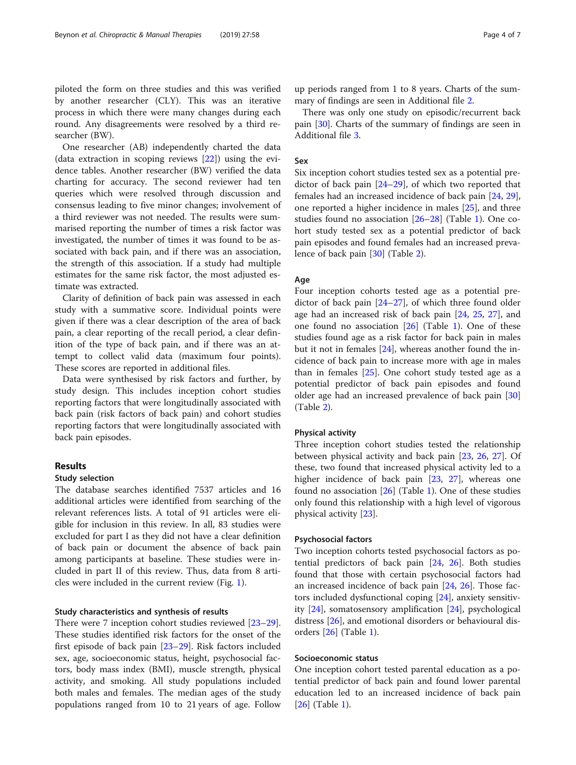One researcher (AB) independently charted the data (data extraction in scoping reviews [[22\]](#page-7-0)) using the evidence tables. Another researcher (BW) verified the data charting for accuracy. The second reviewer had ten queries which were resolved through discussion and consensus leading to five minor changes; involvement of a third reviewer was not needed. The results were summarised reporting the number of times a risk factor was investigated, the number of times it was found to be associated with back pain, and if there was an association, the strength of this association. If a study had multiple estimates for the same risk factor, the most adjusted estimate was extracted.

Clarity of definition of back pain was assessed in each study with a summative score. Individual points were given if there was a clear description of the area of back pain, a clear reporting of the recall period, a clear definition of the type of back pain, and if there was an attempt to collect valid data (maximum four points). These scores are reported in additional files.

Data were synthesised by risk factors and further, by study design. This includes inception cohort studies reporting factors that were longitudinally associated with back pain (risk factors of back pain) and cohort studies reporting factors that were longitudinally associated with back pain episodes.

#### Results

#### Study selection

The database searches identified 7537 articles and 16 additional articles were identified from searching of the relevant references lists. A total of 91 articles were eligible for inclusion in this review. In all, 83 studies were excluded for part I as they did not have a clear definition of back pain or document the absence of back pain among participants at baseline. These studies were included in part II of this review. Thus, data from 8 articles were included in the current review (Fig. [1\)](#page-3-0).

# Study characteristics and synthesis of results

There were 7 inception cohort studies reviewed [[23](#page-7-0)–[29](#page-7-0)]. These studies identified risk factors for the onset of the first episode of back pain [\[23](#page-7-0)–[29\]](#page-7-0). Risk factors included sex, age, socioeconomic status, height, psychosocial factors, body mass index (BMI), muscle strength, physical activity, and smoking. All study populations included both males and females. The median ages of the study populations ranged from 10 to 21 years of age. Follow

up periods ranged from 1 to 8 years. Charts of the summary of findings are seen in Additional file [2](#page-6-0).

There was only one study on episodic/recurrent back pain [[30\]](#page-7-0). Charts of the summary of findings are seen in Additional file [3](#page-6-0).

#### Sex

Six inception cohort studies tested sex as a potential predictor of back pain [[24](#page-7-0)–[29\]](#page-7-0), of which two reported that females had an increased incidence of back pain [\[24](#page-7-0), [29](#page-7-0)], one reported a higher incidence in males [[25\]](#page-7-0), and three studies found no association [\[26](#page-7-0)–[28\]](#page-7-0) (Table [1\)](#page-5-0). One cohort study tested sex as a potential predictor of back pain episodes and found females had an increased prevalence of back pain [\[30](#page-7-0)] (Table [2](#page-5-0)).

# Age

Four inception cohorts tested age as a potential predictor of back pain [\[24](#page-7-0)–[27\]](#page-7-0), of which three found older age had an increased risk of back pain [\[24](#page-7-0), [25,](#page-7-0) [27\]](#page-7-0), and one found no association  $[26]$  (Table [1](#page-5-0)). One of these studies found age as a risk factor for back pain in males but it not in females [\[24\]](#page-7-0), whereas another found the incidence of back pain to increase more with age in males than in females [\[25](#page-7-0)]. One cohort study tested age as a potential predictor of back pain episodes and found older age had an increased prevalence of back pain [[30](#page-7-0)] (Table [2\)](#page-5-0).

#### Physical activity

Three inception cohort studies tested the relationship between physical activity and back pain [[23](#page-7-0), [26](#page-7-0), [27\]](#page-7-0). Of these, two found that increased physical activity led to a higher incidence of back pain [\[23](#page-7-0), [27\]](#page-7-0), whereas one found no association [\[26\]](#page-7-0) (Table [1](#page-5-0)). One of these studies only found this relationship with a high level of vigorous physical activity [[23](#page-7-0)].

#### Psychosocial factors

Two inception cohorts tested psychosocial factors as potential predictors of back pain [\[24,](#page-7-0) [26](#page-7-0)]. Both studies found that those with certain psychosocial factors had an increased incidence of back pain [\[24](#page-7-0), [26\]](#page-7-0). Those factors included dysfunctional coping [[24\]](#page-7-0), anxiety sensitivity [[24\]](#page-7-0), somatosensory amplification [\[24\]](#page-7-0), psychological distress [\[26](#page-7-0)], and emotional disorders or behavioural disorders [[26\]](#page-7-0) (Table [1\)](#page-5-0).

# Socioeconomic status

One inception cohort tested parental education as a potential predictor of back pain and found lower parental education led to an increased incidence of back pain [[26\]](#page-7-0) (Table [1\)](#page-5-0).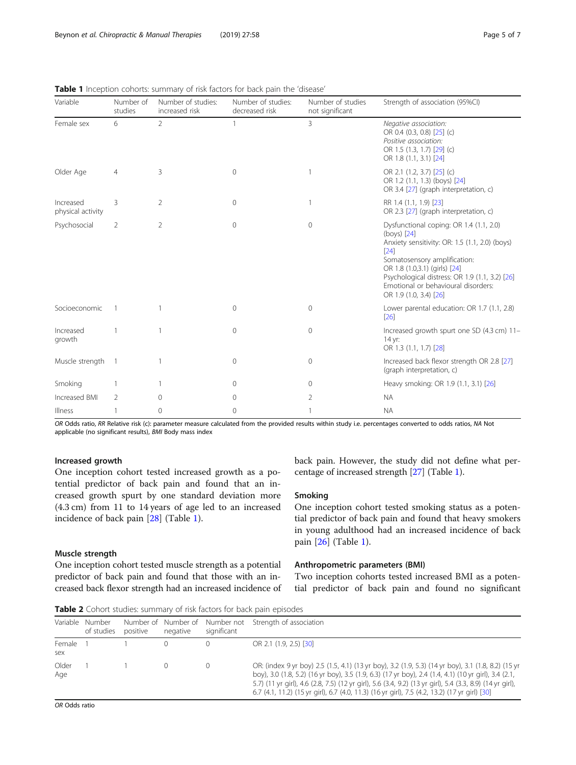| Variable                       | Number of<br>studies | Number of studies:<br>increased risk | Number of studies:<br>decreased risk | Number of studies<br>not significant | Strength of association (95%CI)                                                                                                                                                                                                                                                                              |
|--------------------------------|----------------------|--------------------------------------|--------------------------------------|--------------------------------------|--------------------------------------------------------------------------------------------------------------------------------------------------------------------------------------------------------------------------------------------------------------------------------------------------------------|
| Female sex                     | 6                    | $\overline{2}$                       |                                      | 3                                    | Negative association:<br>OR 0.4 (0.3, 0.8) [25] (c)<br>Positive association:<br>OR 1.5 (1.3, 1.7) [29] (c)<br>OR 1.8 (1.1, 3.1) [24]                                                                                                                                                                         |
| Older Age                      | $\overline{4}$       | 3                                    | 0                                    |                                      | OR 2.1 (1.2, 3.7) [25] (c)<br>OR 1.2 (1.1, 1.3) (boys) [24]<br>OR 3.4 [27] (graph interpretation, c)                                                                                                                                                                                                         |
| Increased<br>physical activity | 3                    | $\overline{2}$                       | 0                                    |                                      | RR 1.4 (1.1, 1.9) [23]<br>OR 2.3 [27] (graph interpretation, c)                                                                                                                                                                                                                                              |
| Psychosocial                   | 2                    | 2                                    | $\mathbf{0}$                         | $\mathbf{0}$                         | Dysfunctional coping: OR 1.4 (1.1, 2.0)<br>$($ boys $)$ $[24]$<br>Anxiety sensitivity: OR: 1.5 (1.1, 2.0) (boys)<br>[24]<br>Somatosensory amplification:<br>OR 1.8 (1.0,3.1) (girls) [24]<br>Psychological distress: OR 1.9 (1.1, 3.2) [26]<br>Emotional or behavioural disorders:<br>OR 1.9 (1.0, 3.4) [26] |
| Socioeconomic                  | $\overline{1}$       |                                      | $\Omega$                             | $\mathbf{0}$                         | Lower parental education: OR 1.7 (1.1, 2.8)<br>[26]                                                                                                                                                                                                                                                          |
| Increased<br>growth            | $\mathbf{1}$         |                                      | $\Omega$                             | $\mathbf{0}$                         | Increased growth spurt one SD (4.3 cm) 11-<br>14 yr:<br>OR 1.3 (1.1, 1.7) [28]                                                                                                                                                                                                                               |
| Muscle strength                | $\overline{1}$       |                                      | $\mathbf{0}$                         | 0                                    | Increased back flexor strength OR 2.8 [27]<br>(graph interpretation, c)                                                                                                                                                                                                                                      |
| Smoking                        | $\mathbf{1}$         |                                      | $\Omega$                             | $\circ$                              | Heavy smoking: OR 1.9 (1.1, 3.1) [26]                                                                                                                                                                                                                                                                        |
| Increased BMI                  | $\overline{2}$       | 0                                    | 0                                    | $\overline{2}$                       | <b>NA</b>                                                                                                                                                                                                                                                                                                    |
| <b>Illness</b>                 | 1                    | 0                                    | $\circ$                              |                                      | <b>NA</b>                                                                                                                                                                                                                                                                                                    |

<span id="page-5-0"></span>Table 1 Inception cohorts: summary of risk factors for back pain the 'disease'

OR Odds ratio, RR Relative risk (c): parameter measure calculated from the provided results within study i.e. percentages converted to odds ratios, NA Not applicable (no significant results), BMI Body mass index

#### Increased growth

One inception cohort tested increased growth as a potential predictor of back pain and found that an increased growth spurt by one standard deviation more (4.3 cm) from 11 to 14 years of age led to an increased incidence of back pain [[28\]](#page-7-0) (Table 1).

# Muscle strength

One inception cohort tested muscle strength as a potential predictor of back pain and found that those with an increased back flexor strength had an increased incidence of back pain. However, the study did not define what percentage of increased strength [[27](#page-7-0)] (Table 1).

# Smoking

One inception cohort tested smoking status as a potential predictor of back pain and found that heavy smokers in young adulthood had an increased incidence of back pain [\[26](#page-7-0)] (Table 1).

# Anthropometric parameters (BMI)

Two inception cohorts tested increased BMI as a potential predictor of back pain and found no significant

Table 2 Cohort studies: summary of risk factors for back pain episodes

|               | Variable Number<br>of studies | positive | negative | significant | Number of Number of Number not Strength of association                                                                                                                                                                                                                                                                                                                                                                   |
|---------------|-------------------------------|----------|----------|-------------|--------------------------------------------------------------------------------------------------------------------------------------------------------------------------------------------------------------------------------------------------------------------------------------------------------------------------------------------------------------------------------------------------------------------------|
| Female<br>sex |                               |          |          |             | OR 2.1 (1.9, 2.5) [30]                                                                                                                                                                                                                                                                                                                                                                                                   |
| Older<br>Age  |                               |          |          |             | OR: (index 9 yr boy) 2.5 (1.5, 4.1) (13 yr boy), 3.2 (1.9, 5.3) (14 yr boy), 3.1 (1.8, 8.2) (15 yr<br>boy), 3.0 (1.8, 5.2) (16 yr boy), 3.5 (1.9, 6.3) (17 yr boy), 2.4 (1.4, 4.1) (10 yr girl), 3.4 (2.1,<br>5.7) (11 yr girl), 4.6 (2.8, 7.5) (12 yr girl), 5.6 (3.4, 9.2) (13 yr girl), 5.4 (3.3, 8.9) (14 yr girl),<br>6.7 (4.1, 11.2) (15 yr girl), 6.7 (4.0, 11.3) (16 yr girl), 7.5 (4.2, 13.2) (17 yr girl) [30] |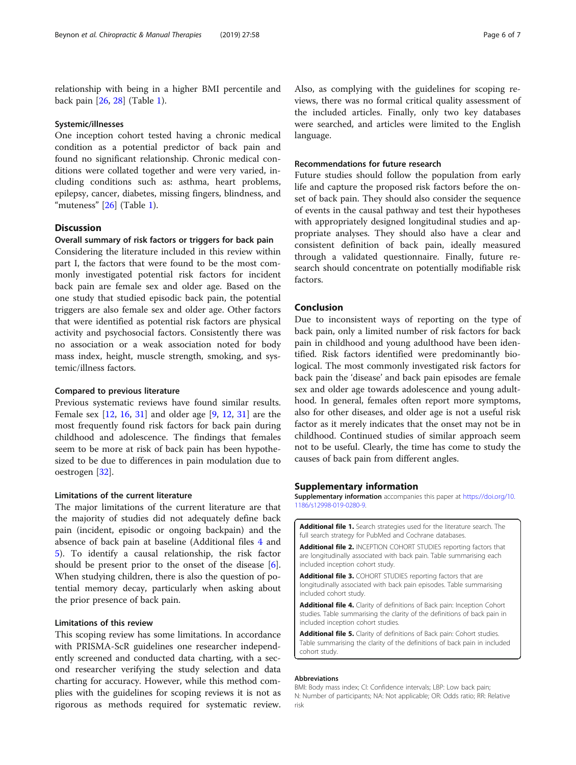<span id="page-6-0"></span>relationship with being in a higher BMI percentile and back pain [\[26,](#page-7-0) [28\]](#page-7-0) (Table [1](#page-5-0)).

#### Systemic/illnesses

One inception cohort tested having a chronic medical condition as a potential predictor of back pain and found no significant relationship. Chronic medical conditions were collated together and were very varied, including conditions such as: asthma, heart problems, epilepsy, cancer, diabetes, missing fingers, blindness, and "muteness" [\[26](#page-7-0)] (Table [1](#page-5-0)).

# **Discussion**

#### Overall summary of risk factors or triggers for back pain

Considering the literature included in this review within part I, the factors that were found to be the most commonly investigated potential risk factors for incident back pain are female sex and older age. Based on the one study that studied episodic back pain, the potential triggers are also female sex and older age. Other factors that were identified as potential risk factors are physical activity and psychosocial factors. Consistently there was no association or a weak association noted for body mass index, height, muscle strength, smoking, and systemic/illness factors.

## Compared to previous literature

Previous systematic reviews have found similar results. Female sex [[12,](#page-7-0) [16](#page-7-0), [31\]](#page-7-0) and older age [\[9](#page-7-0), [12,](#page-7-0) [31](#page-7-0)] are the most frequently found risk factors for back pain during childhood and adolescence. The findings that females seem to be more at risk of back pain has been hypothesized to be due to differences in pain modulation due to oestrogen [[32](#page-7-0)].

# Limitations of the current literature

The major limitations of the current literature are that the majority of studies did not adequately define back pain (incident, episodic or ongoing backpain) and the absence of back pain at baseline (Additional files 4 and 5). To identify a causal relationship, the risk factor should be present prior to the onset of the disease [\[6](#page-7-0)]. When studying children, there is also the question of potential memory decay, particularly when asking about the prior presence of back pain.

# Limitations of this review

This scoping review has some limitations. In accordance with PRISMA-ScR guidelines one researcher independently screened and conducted data charting, with a second researcher verifying the study selection and data charting for accuracy. However, while this method complies with the guidelines for scoping reviews it is not as rigorous as methods required for systematic review.

Also, as complying with the guidelines for scoping reviews, there was no formal critical quality assessment of the included articles. Finally, only two key databases were searched, and articles were limited to the English language.

# Recommendations for future research

Future studies should follow the population from early life and capture the proposed risk factors before the onset of back pain. They should also consider the sequence of events in the causal pathway and test their hypotheses with appropriately designed longitudinal studies and appropriate analyses. They should also have a clear and consistent definition of back pain, ideally measured through a validated questionnaire. Finally, future research should concentrate on potentially modifiable risk factors.

#### Conclusion

Due to inconsistent ways of reporting on the type of back pain, only a limited number of risk factors for back pain in childhood and young adulthood have been identified. Risk factors identified were predominantly biological. The most commonly investigated risk factors for back pain the 'disease' and back pain episodes are female sex and older age towards adolescence and young adulthood. In general, females often report more symptoms, also for other diseases, and older age is not a useful risk factor as it merely indicates that the onset may not be in childhood. Continued studies of similar approach seem not to be useful. Clearly, the time has come to study the causes of back pain from different angles.

#### Supplementary information

Supplementary information accompanies this paper at [https://doi.org/10.](https://doi.org/10.1186/s12998-019-0280-9) [1186/s12998-019-0280-9.](https://doi.org/10.1186/s12998-019-0280-9)

Additional file 1. Search strategies used for the literature search. The full search strategy for PubMed and Cochrane databases.

Additional file 2. INCEPTION COHORT STUDIES reporting factors that are longitudinally associated with back pain. Table summarising each included inception cohort study.

Additional file 3. COHORT STUDIES reporting factors that are longitudinally associated with back pain episodes. Table summarising included cohort study.

Additional file 4. Clarity of definitions of Back pain: Inception Cohort studies. Table summarising the clarity of the definitions of back pain in included inception cohort studies.

Additional file 5. Clarity of definitions of Back pain: Cohort studies. Table summarising the clarity of the definitions of back pain in included cohort study.

#### Abbreviations

BMI: Body mass index; CI: Confidence intervals; LBP: Low back pain; N: Number of participants; NA: Not applicable; OR: Odds ratio; RR: Relative risk